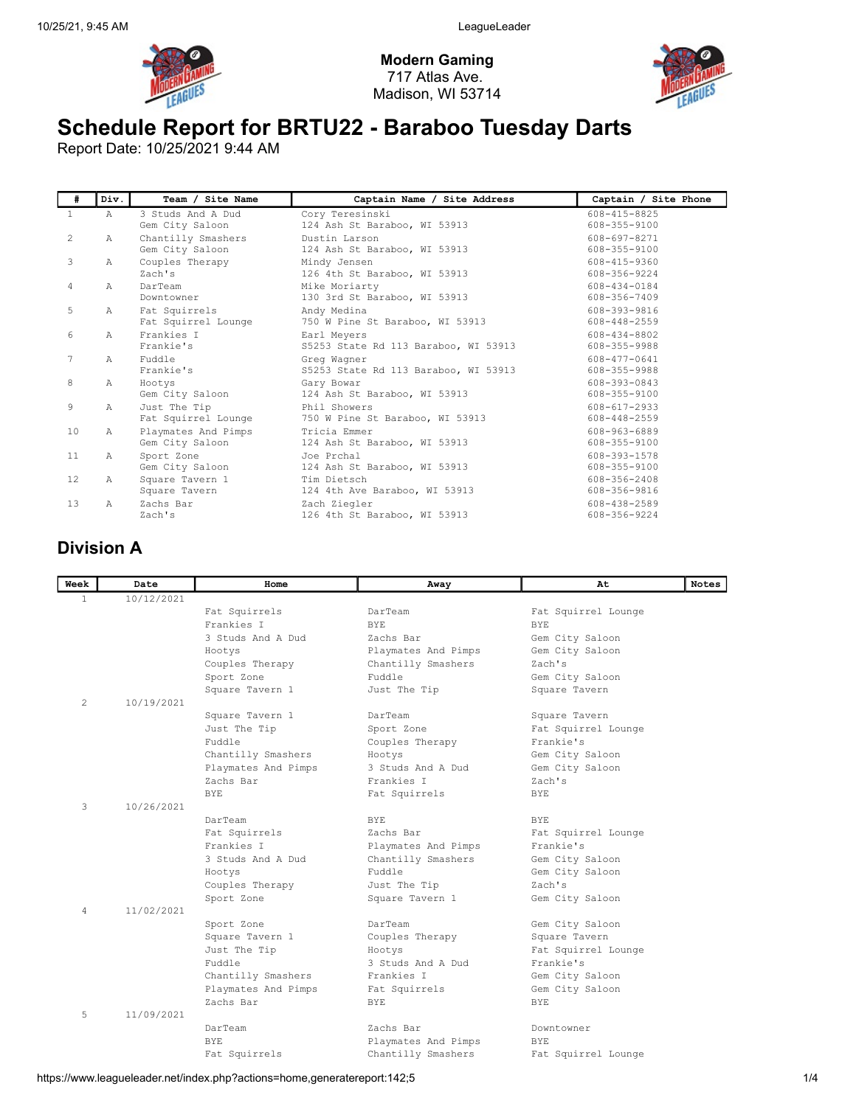

Modern Gaming 717 Atlas Ave. Madison, WI 53714



## Schedule Report for BRTU22 - Baraboo Tuesday Darts

Report Date: 10/25/2021 9:44 AM

| #              | Div.           | Team / Site Name                     | Captain Name / Site Address                     | Captain / Site Phone         |
|----------------|----------------|--------------------------------------|-------------------------------------------------|------------------------------|
| $\mathbf{1}$   | $\mathbb{A}$   | 3 Studs And A Dud<br>Gem City Saloon | Cory Teresinski<br>124 Ash St Baraboo, WI 53913 | 608-415-8825<br>608-355-9100 |
| 2              | Α              | Chantilly Smashers                   | Dustin Larson                                   | 608-697-8271                 |
|                |                | Gem City Saloon                      | 124 Ash St Baraboo, WI 53913                    | 608-355-9100                 |
| 3              | $\mathbb{A}$   | Couples Therapy                      | Mindy Jensen                                    | 608-415-9360                 |
|                |                | Zach's                               | 126 4th St Baraboo, WI 53913                    | 608-356-9224                 |
| $\overline{4}$ | $\lambda$      | DarTeam                              | Mike Moriarty                                   | 608-434-0184                 |
|                |                | Downtowner                           | 130 3rd St Baraboo, WI 53913                    | 608-356-7409                 |
| 5              | $\lambda$      | Fat Squirrels                        | Andy Medina                                     | 608-393-9816                 |
|                |                | Fat Squirrel Lounge                  | 750 W Pine St Baraboo, WI 53913                 | 608-448-2559                 |
| 6              | $\lambda$      | Frankies I                           | Earl Meyers                                     | 608-434-8802                 |
|                |                | Frankie's                            | S5253 State Rd 113 Baraboo, WI 53913            | 608-355-9988                 |
| 7              | Α              | Fuddle                               | Greg Wagner                                     | 608-477-0641                 |
|                |                | Frankie's                            | S5253 State Rd 113 Baraboo, WI 53913            | 608-355-9988                 |
| 8              | Α              | Hootys                               | Gary Bowar                                      | 608-393-0843                 |
|                |                | Gem City Saloon                      | 124 Ash St Baraboo, WI 53913                    | 608-355-9100                 |
| 9              | $\mathbb{A}$   | Just The Tip                         | Phil Showers                                    | 608-617-2933                 |
|                |                | Fat Squirrel Lounge                  | 750 W Pine St Baraboo, WI 53913                 | 608-448-2559                 |
| 10             | $\mathcal{A}$  | Playmates And Pimps                  | Tricia Emmer                                    | 608-963-6889                 |
|                |                | Gem City Saloon                      | 124 Ash St Baraboo, WI 53913                    | 608-355-9100                 |
| 11             | $\mathbb{A}$   | Sport Zone                           | Joe Prchal                                      | 608-393-1578                 |
|                |                | Gem City Saloon                      | 124 Ash St Baraboo, WI 53913                    | 608-355-9100                 |
| 12             | A              | Square Tavern 1                      | Tim Dietsch                                     | 608-356-2408                 |
|                |                | Square Tavern                        | 124 4th Ave Baraboo, WI 53913                   | 608-356-9816                 |
| 13             | $\overline{A}$ | Zachs Bar                            | Zach Ziegler                                    | 608-438-2589                 |
|                |                | Zach's                               | 126 4th St Baraboo, WI 53913                    | 608-356-9224                 |

## Division A

| Week         | Date       | Home                | Away                | At                  | Notes |
|--------------|------------|---------------------|---------------------|---------------------|-------|
| $\mathbf{1}$ | 10/12/2021 |                     |                     |                     |       |
|              |            | Fat Squirrels       | DarTeam             | Fat Squirrel Lounge |       |
|              |            | Frankies I          | BYE.                | BYE.                |       |
|              |            | 3 Studs And A Dud   | Zachs Bar           | Gem City Saloon     |       |
|              |            | Hootys              | Playmates And Pimps | Gem City Saloon     |       |
|              |            | Couples Therapy     | Chantilly Smashers  | Zach's              |       |
|              |            | Sport Zone          | Fuddle              | Gem City Saloon     |       |
|              |            | Square Tavern 1     | Just The Tip        | Square Tavern       |       |
| 2            | 10/19/2021 |                     |                     |                     |       |
|              |            | Square Tavern 1     | DarTeam             | Square Tavern       |       |
|              |            | Just The Tip        | Sport Zone          | Fat Squirrel Lounge |       |
|              |            | Fuddle              | Couples Therapy     | Frankie's           |       |
|              |            | Chantilly Smashers  | Hootys              | Gem City Saloon     |       |
|              |            | Playmates And Pimps | 3 Studs And A Dud   | Gem City Saloon     |       |
|              |            | Zachs Bar           | Frankies I          | Zach's              |       |
|              |            | <b>BYE</b>          | Fat Squirrels       | <b>BYE</b>          |       |
| 3            | 10/26/2021 |                     |                     |                     |       |
|              |            | DarTeam             | BYE.                | BYE.                |       |
|              |            | Fat Squirrels       | Zachs Bar           | Fat Squirrel Lounge |       |
|              |            | Frankies I          | Playmates And Pimps | Frankie's           |       |
|              |            | 3 Studs And A Dud   | Chantilly Smashers  | Gem City Saloon     |       |
|              |            | Hootys              | Fuddle              | Gem City Saloon     |       |
|              |            | Couples Therapy     | Just The Tip        | Zach's              |       |
|              |            | Sport Zone          | Square Tavern 1     | Gem City Saloon     |       |
| 4            | 11/02/2021 |                     |                     |                     |       |
|              |            | Sport Zone          | DarTeam             | Gem City Saloon     |       |
|              |            | Square Tavern 1     | Couples Therapy     | Square Tavern       |       |
|              |            | Just The Tip        | Hootys              | Fat Squirrel Lounge |       |
|              |            | Fuddle              | 3 Studs And A Dud   | Frankie's           |       |
|              |            | Chantilly Smashers  | Frankies I          | Gem City Saloon     |       |
|              |            | Playmates And Pimps | Fat Squirrels       | Gem City Saloon     |       |
|              |            | Zachs Bar           | <b>BYE</b>          | <b>BYE</b>          |       |
| 5            | 11/09/2021 | DarTeam             | Zachs Bar           | Downtowner          |       |
|              |            | <b>BYE</b>          |                     | <b>BYE</b>          |       |
|              |            |                     | Playmates And Pimps |                     |       |
|              |            | Fat Squirrels       | Chantilly Smashers  | Fat Squirrel Lounge |       |

https://www.leagueleader.net/index.php?actions=home,generatereport:142;5 1/4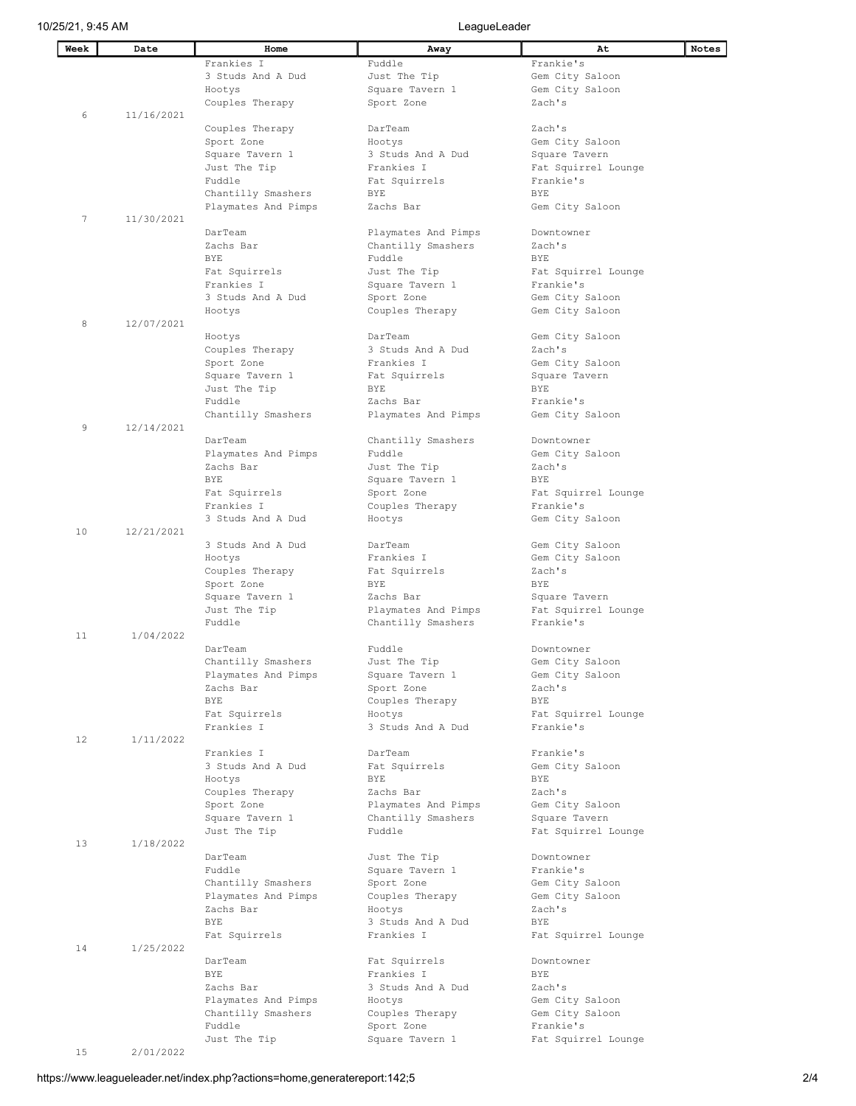| Week | Date       | Home                        | Away                         | At                               | <b>Notes</b> |
|------|------------|-----------------------------|------------------------------|----------------------------------|--------------|
|      |            | Frankies I                  | Fuddle                       | Frankie's                        |              |
|      |            | 3 Studs And A Dud           | Just The Tip                 | Gem City Saloon                  |              |
|      |            | Hootys                      | Square Tavern 1              | Gem City Saloon                  |              |
|      |            | Couples Therapy             | Sport Zone                   | Zach's                           |              |
| 6    | 11/16/2021 |                             |                              |                                  |              |
|      |            | Couples Therapy             | DarTeam                      | Zach's                           |              |
|      |            | Sport Zone                  | Hootys                       | Gem City Saloon                  |              |
|      |            | Square Tavern 1             | 3 Studs And A Dud            | Square Tavern                    |              |
|      |            | Just The Tip                | Frankies I                   | Fat Squirrel Lounge              |              |
|      |            | Fuddle                      |                              | Frankie's                        |              |
|      |            | Chantilly Smashers          | Fat Squirrels<br>BYE         | <b>BYE</b>                       |              |
|      |            | Playmates And Pimps         | Zachs Bar                    | Gem City Saloon                  |              |
| 7    | 11/30/2021 |                             |                              |                                  |              |
|      |            | DarTeam                     | Playmates And Pimps          | Downtowner                       |              |
|      |            | Zachs Bar                   |                              | Zach's                           |              |
|      |            | <b>BYE</b>                  | Chantilly Smashers<br>Fuddle | <b>BYE</b>                       |              |
|      |            |                             |                              |                                  |              |
|      |            | Fat Squirrels<br>Frankies I | Just The Tip                 | Fat Squirrel Lounge<br>Frankie's |              |
|      |            |                             | Square Tavern 1              |                                  |              |
|      |            | 3 Studs And A Dud           | Sport Zone                   | Gem City Saloon                  |              |
|      |            | Hootys                      | Couples Therapy              | Gem City Saloon                  |              |
| 8    | 12/07/2021 |                             |                              |                                  |              |
|      |            | Hootys                      | DarTeam                      | Gem City Saloon                  |              |
|      |            | Couples Therapy             | 3 Studs And A Dud            | Zach's                           |              |
|      |            | Sport Zone                  | Frankies I                   | Gem City Saloon                  |              |
|      |            | Square Tavern 1             | Fat Squirrels                | Square Tavern                    |              |
|      |            | Just The Tip                | BYE                          | <b>BYE</b>                       |              |
|      |            | Fuddle                      | Zachs Bar                    | Frankie's                        |              |
|      |            | Chantilly Smashers          | Playmates And Pimps          | Gem City Saloon                  |              |
| 9    | 12/14/2021 |                             |                              |                                  |              |
|      |            | DarTeam                     | Chantilly Smashers           | Downtowner                       |              |
|      |            | Playmates And Pimps         | Fuddle                       | Gem City Saloon                  |              |
|      |            | Zachs Bar                   | Just The Tip                 | Zach's                           |              |
|      |            | <b>BYE</b>                  | Square Tavern 1              | BYE                              |              |
|      |            | Fat Squirrels               | Sport Zone                   | Fat Squirrel Lounge              |              |
|      |            | Frankies I                  | Couples Therapy              | Frankie's                        |              |
|      |            | 3 Studs And A Dud           | Hootys                       | Gem City Saloon                  |              |
| 10   | 12/21/2021 |                             |                              |                                  |              |
|      |            | 3 Studs And A Dud           | DarTeam                      | Gem City Saloon                  |              |
|      |            | Hootys                      | Frankies I                   | Gem City Saloon                  |              |
|      |            | Couples Therapy             | Fat Squirrels                | Zach's                           |              |
|      |            | Sport Zone                  | <b>BYE</b>                   | <b>BYE</b>                       |              |
|      |            | Square Tavern 1             | Zachs Bar                    | Square Tavern                    |              |
|      |            | Just The Tip                | Playmates And Pimps          | Fat Squirrel Lounge              |              |
|      |            | Fuddle                      | Chantilly Smashers           | Frankie's                        |              |
| 11   | 1/04/2022  |                             |                              |                                  |              |
|      |            | DarTeam                     | Fuddle                       | Downtowner                       |              |
|      |            | Chantilly Smashers          | Just The Tip                 | Gem City Saloon                  |              |
|      |            | Playmates And Pimps         | Square Tavern 1              | Gem City Saloon                  |              |
|      |            | Zachs Bar                   | Sport Zone                   | Zach's                           |              |
|      |            | BYE                         | Couples Therapy              | BYE                              |              |
|      |            | Fat Squirrels               | Hootys                       | Fat Squirrel Lounge              |              |
| 12   | 1/11/2022  | Frankies I                  | 3 Studs And A Dud            | Frankie's                        |              |
|      |            | Frankies I                  | DarTeam                      | Frankie's                        |              |
|      |            | 3 Studs And A Dud           | Fat Squirrels                | Gem City Saloon                  |              |
|      |            | Hootys                      | BYE                          | BYE                              |              |
|      |            | Couples Therapy             | Zachs Bar                    | Zach's                           |              |
|      |            | Sport Zone                  | Playmates And Pimps          | Gem City Saloon                  |              |
|      |            | Square Tavern 1             | Chantilly Smashers           | Square Tavern                    |              |
|      |            | Just The Tip                | Fuddle                       | Fat Squirrel Lounge              |              |
| 13   | 1/18/2022  |                             |                              |                                  |              |
|      |            | DarTeam                     | Just The Tip                 | Downtowner                       |              |
|      |            | Fuddle                      | Square Tavern 1              | Frankie's                        |              |
|      |            | Chantilly Smashers          | Sport Zone                   | Gem City Saloon                  |              |
|      |            | Playmates And Pimps         | Couples Therapy              | Gem City Saloon                  |              |
|      |            | Zachs Bar                   | Hootys                       | Zach's                           |              |
|      |            | BYE                         | 3 Studs And A Dud            | BYE                              |              |
|      |            | Fat Squirrels               | Frankies I                   | Fat Squirrel Lounge              |              |
| 14   | 1/25/2022  |                             |                              |                                  |              |
|      |            | DarTeam                     | Fat Squirrels                | Downtowner                       |              |
|      |            | <b>BYE</b>                  | Frankies I                   | <b>BYE</b>                       |              |
|      |            | Zachs Bar                   | 3 Studs And A Dud            | Zach's                           |              |
|      |            | Playmates And Pimps         | Hootys                       | Gem City Saloon                  |              |
|      |            | Chantilly Smashers          | Couples Therapy              | Gem City Saloon                  |              |
|      |            | Fuddle                      | Sport Zone                   | Frankie's                        |              |
|      |            | Just The Tip                | Square Tavern 1              | Fat Squirrel Lounge              |              |
| 15   | 2/01/2022  |                             |                              |                                  |              |

https://www.leagueleader.net/index.php?actions=home,generatereport:142;5 2/4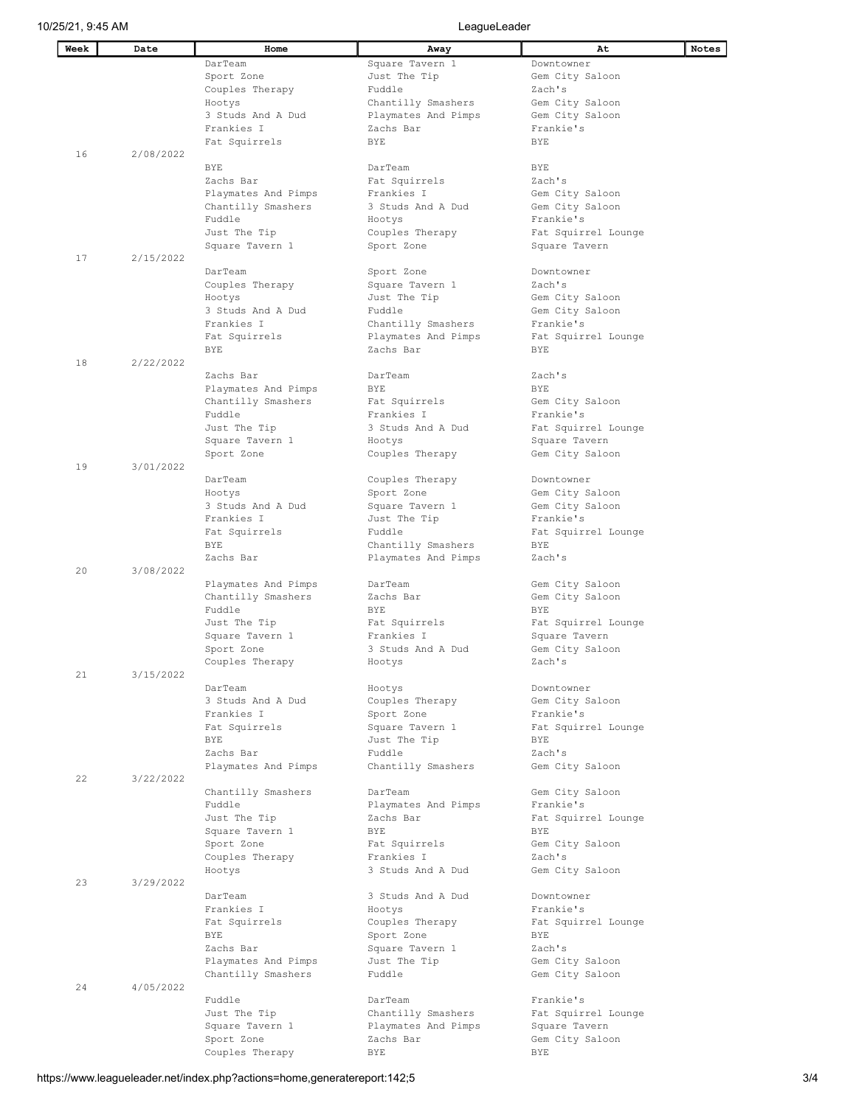| Week | Date      | Home                | Away                          | At                  | Notes |
|------|-----------|---------------------|-------------------------------|---------------------|-------|
|      |           | DarTeam             | Square Tavern 1               | Downtowner          |       |
|      |           | Sport Zone          | Just The Tip                  | Gem City Saloon     |       |
|      |           | Couples Therapy     | Fuddle                        | Zach's              |       |
|      |           | Hootys              | Chantilly Smashers            | Gem City Saloon     |       |
|      |           | 3 Studs And A Dud   | Playmates And Pimps           | Gem City Saloon     |       |
|      |           | Frankies I          | Zachs Bar                     | Frankie's           |       |
|      |           | Fat Squirrels       | BYE                           | <b>BYE</b>          |       |
| 16   | 2/08/2022 |                     |                               |                     |       |
|      |           | <b>BYE</b>          | DarTeam                       | <b>BYE</b>          |       |
|      |           | Zachs Bar           | Fat Squirrels                 | Zach's              |       |
|      |           | Playmates And Pimps | Frankies I                    | Gem City Saloon     |       |
|      |           | Chantilly Smashers  | 3 Studs And A Dud             | Gem City Saloon     |       |
|      |           | Fuddle              | Hootys                        | Frankie's           |       |
|      |           | Just The Tip        | Couples Therapy               | Fat Squirrel Lounge |       |
|      |           | Square Tavern 1     | Sport Zone                    | Square Tavern       |       |
| 17   | 2/15/2022 |                     |                               |                     |       |
|      |           | DarTeam             |                               | Downtowner          |       |
|      |           | Couples Therapy     | Sport Zone<br>Square Tavern 1 | Zach's              |       |
|      |           |                     |                               |                     |       |
|      |           | Hootys              | Just The Tip                  | Gem City Saloon     |       |
|      |           | 3 Studs And A Dud   | Fuddle                        | Gem City Saloon     |       |
|      |           | Frankies I          | Chantilly Smashers            | Frankie's           |       |
|      |           | Fat Squirrels       | Playmates And Pimps           | Fat Squirrel Lounge |       |
|      |           | <b>BYE</b>          | Zachs Bar                     | BYE                 |       |
| 18   | 2/22/2022 |                     |                               |                     |       |
|      |           | Zachs Bar           | DarTeam                       | Zach's              |       |
|      |           | Playmates And Pimps | BYE                           | BYE                 |       |
|      |           | Chantilly Smashers  | Fat Squirrels                 | Gem City Saloon     |       |
|      |           | Fuddle              | Frankies I                    | Frankie's           |       |
|      |           | Just The Tip        | 3 Studs And A Dud             | Fat Squirrel Lounge |       |
|      |           | Square Tavern 1     | Hootys                        | Square Tavern       |       |
|      |           | Sport Zone          | Couples Therapy               | Gem City Saloon     |       |
| 19   | 3/01/2022 |                     |                               |                     |       |
|      |           | DarTeam             | Couples Therapy               | Downtowner          |       |
|      |           | Hootys              | Sport Zone                    | Gem City Saloon     |       |
|      |           | 3 Studs And A Dud   | Square Tavern 1               | Gem City Saloon     |       |
|      |           | Frankies I          | Just The Tip                  | Frankie's           |       |
|      |           | Fat Squirrels       | Fuddle                        | Fat Squirrel Lounge |       |
|      |           | <b>BYE</b>          | Chantilly Smashers            | BYE                 |       |
|      |           | Zachs Bar           | Playmates And Pimps           | Zach's              |       |
| 20   | 3/08/2022 |                     |                               |                     |       |
|      |           | Playmates And Pimps | DarTeam                       | Gem City Saloon     |       |
|      |           | Chantilly Smashers  | Zachs Bar                     | Gem City Saloon     |       |
|      |           | Fuddle              | BYE                           | BYE                 |       |
|      |           | Just The Tip        | Fat Squirrels                 | Fat Squirrel Lounge |       |
|      |           | Square Tavern 1     | Frankies I                    | Square Tavern       |       |
|      |           | Sport Zone          | 3 Studs And A Dud             | Gem City Saloon     |       |
|      |           | Couples Therapy     | Hootys                        | Zach's              |       |
| 21   | 3/15/2022 |                     |                               |                     |       |
|      |           | DarTeam             | Hootys                        | Downtowner          |       |
|      |           | 3 Studs And A Dud   | Couples Therapy               | Gem City Saloon     |       |
|      |           | Frankies I          | Sport Zone                    | Frankie's           |       |
|      |           | Fat Squirrels       | Square Tavern 1               | Fat Squirrel Lounge |       |
|      |           | BYE                 | Just The Tip                  | BYE                 |       |
|      |           | Zachs Bar           | Fuddle                        | Zach's              |       |
|      |           | Playmates And Pimps | Chantilly Smashers            | Gem City Saloon     |       |
| 22   | 3/22/2022 |                     |                               |                     |       |
|      |           | Chantilly Smashers  | DarTeam                       | Gem City Saloon     |       |
|      |           | Fuddle              | Playmates And Pimps           | Frankie's           |       |
|      |           | Just The Tip        | Zachs Bar                     | Fat Squirrel Lounge |       |
|      |           | Square Tavern 1     | <b>BYE</b>                    | BYE                 |       |
|      |           | Sport Zone          | Fat Squirrels                 | Gem City Saloon     |       |
|      |           | Couples Therapy     | Frankies I                    | Zach's              |       |
|      |           | Hootys              | 3 Studs And A Dud             | Gem City Saloon     |       |
| 23   | 3/29/2022 |                     |                               |                     |       |
|      |           | DarTeam             | 3 Studs And A Dud             | Downtowner          |       |
|      |           | Frankies I          | Hootys                        | Frankie's           |       |
|      |           | Fat Squirrels       | Couples Therapy               | Fat Squirrel Lounge |       |
|      |           | <b>BYE</b>          | Sport Zone                    | <b>BYE</b>          |       |
|      |           | Zachs Bar           | Square Tavern 1               | Zach's              |       |
|      |           | Playmates And Pimps | Just The Tip                  | Gem City Saloon     |       |
|      |           | Chantilly Smashers  | Fuddle                        | Gem City Saloon     |       |
| 24   | 4/05/2022 |                     |                               |                     |       |
|      |           | Fuddle              | DarTeam                       | Frankie's           |       |
|      |           | Just The Tip        | Chantilly Smashers            | Fat Squirrel Lounge |       |
|      |           | Square Tavern 1     | Playmates And Pimps           | Square Tavern       |       |
|      |           | Sport Zone          | Zachs Bar                     | Gem City Saloon     |       |
|      |           | Couples Therapy     | <b>BYE</b>                    | BYE                 |       |
|      |           |                     |                               |                     |       |